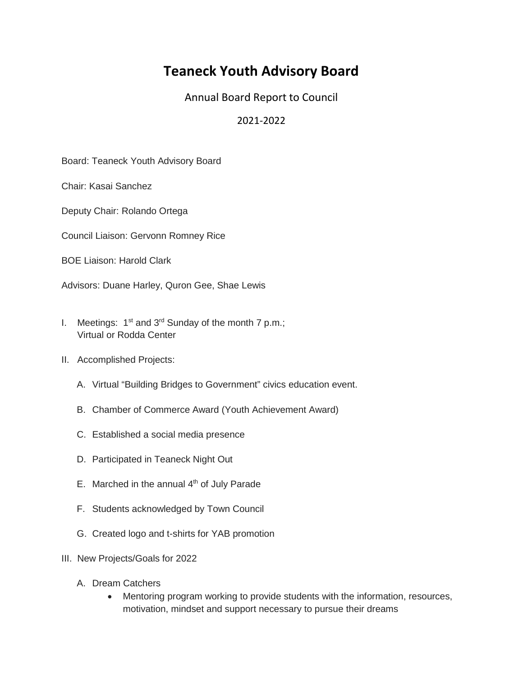## **Teaneck Youth Advisory Board**

Annual Board Report to Council

## 2021-2022

Board: Teaneck Youth Advisory Board

Chair: Kasai Sanchez

Deputy Chair: Rolando Ortega

Council Liaison: Gervonn Romney Rice

BOE Liaison: Harold Clark

Advisors: Duane Harley, Quron Gee, Shae Lewis

- I. Meetings:  $1^{st}$  and  $3^{rd}$  Sunday of the month 7 p.m.; Virtual or Rodda Center
- II. Accomplished Projects:
	- A. Virtual "Building Bridges to Government" civics education event.
	- B. Chamber of Commerce Award (Youth Achievement Award)
	- C. Established a social media presence
	- D. Participated in Teaneck Night Out
	- E. Marched in the annual  $4<sup>th</sup>$  of July Parade
	- F. Students acknowledged by Town Council
	- G. Created logo and t-shirts for YAB promotion
- III. New Projects/Goals for 2022
	- A. Dream Catchers
		- Mentoring program working to provide students with the information, resources, motivation, mindset and support necessary to pursue their dreams